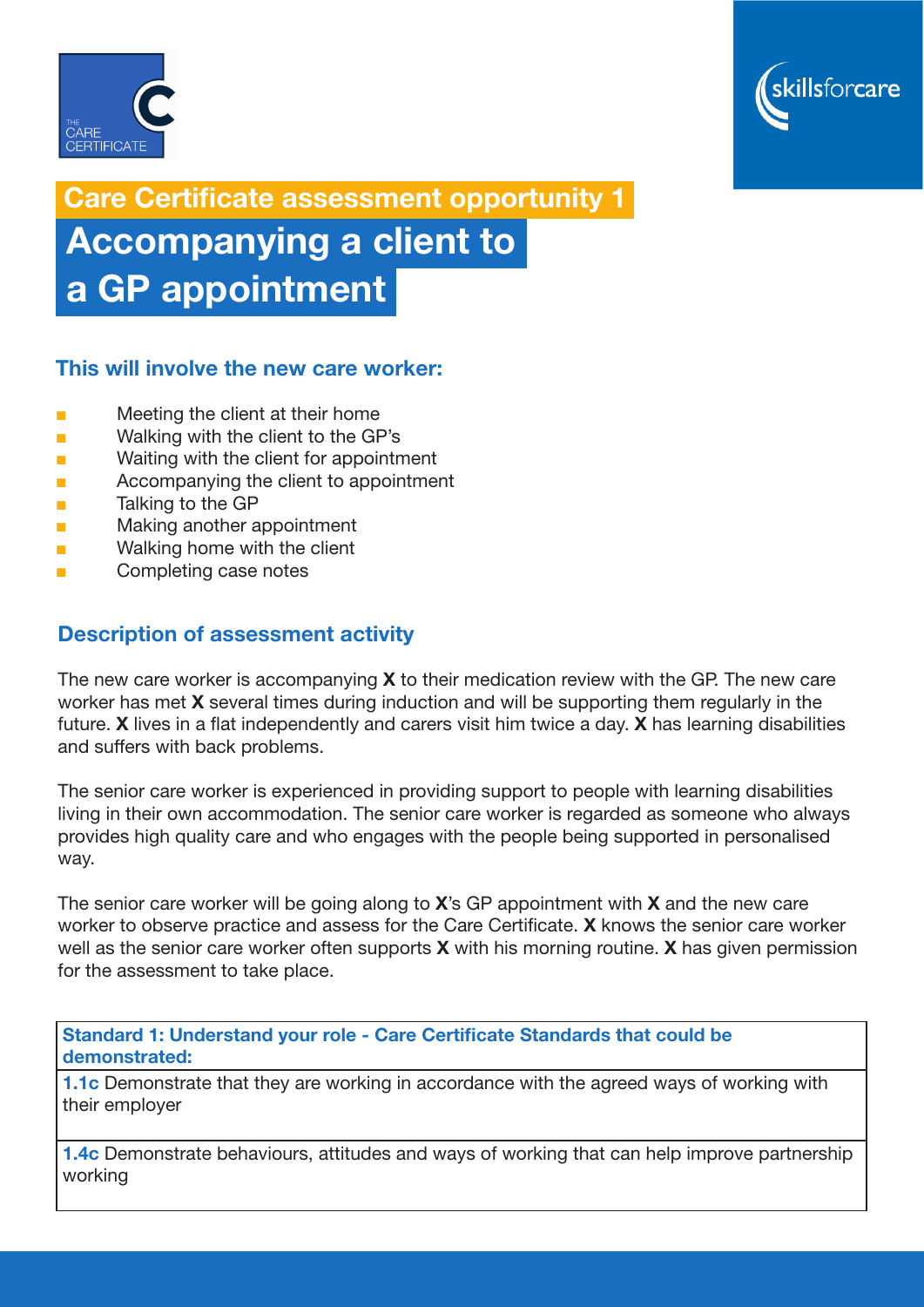



Care Certificate assessment opportunity 1

 Accompanying a client to a GP appointment

## This will involve the new care worker:

- Meeting the client at their home
- Walking with the client to the GP's
- Waiting with the client for appointment
- Accompanying the client to appointment
- Talking to the GP
- Making another appointment
- Walking home with the client
- Completing case notes

## Description of assessment activity

The new care worker is accompanying  $X$  to their medication review with the GP. The new care worker has met **X** several times during induction and will be supporting them regularly in the future. X lives in a flat independently and carers visit him twice a day. X has learning disabilities and suffers with back problems.

The senior care worker is experienced in providing support to people with learning disabilities living in their own accommodation. The senior care worker is regarded as someone who always provides high quality care and who engages with the people being supported in personalised way.

The senior care worker will be going along to X's GP appointment with X and the new care worker to observe practice and assess for the Care Certificate. X knows the senior care worker well as the senior care worker often supports  $X$  with his morning routine.  $X$  has given permission for the assessment to take place.

Standard 1: Understand your role - Care Certificate Standards that could be demonstrated:

**1.1c** Demonstrate that they are working in accordance with the agreed ways of working with their employer

**1.4c** Demonstrate behaviours, attitudes and ways of working that can help improve partnership working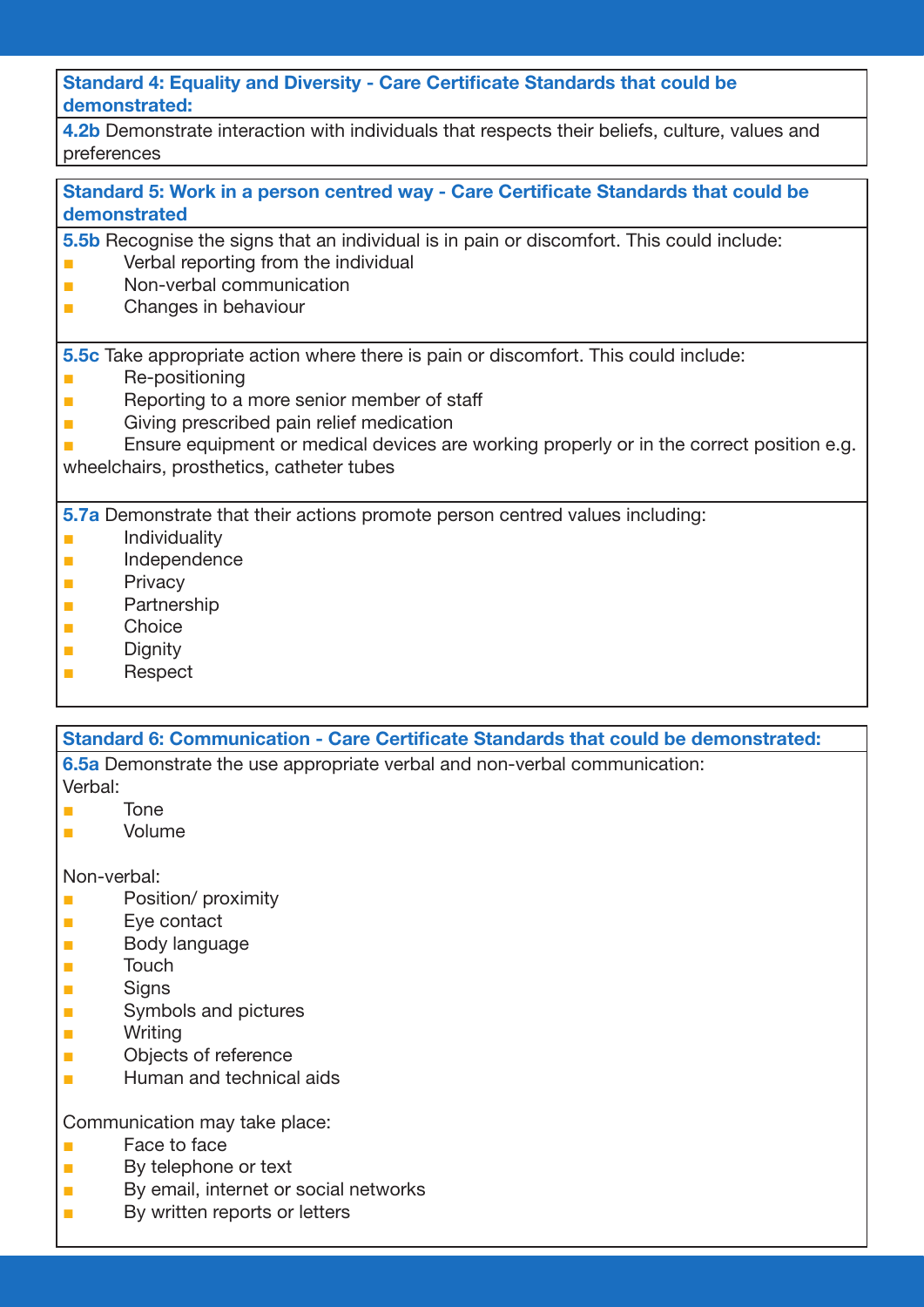Standard 4: Equality and Diversity - Care Certificate Standards that could be demonstrated:

4.2b Demonstrate interaction with individuals that respects their beliefs, culture, values and preferences

Standard 5: Work in a person centred way - Care Certificate Standards that could be demonstrated

- 5.5b Recognise the signs that an individual is in pain or discomfort. This could include: ■ Verbal reporting from the individual
- Non-verbal communication
- Changes in behaviour

5.5c Take appropriate action where there is pain or discomfort. This could include:

- Re-positioning
- Reporting to a more senior member of staff
- Giving prescribed pain relief medication
- Ensure equipment or medical devices are working properly or in the correct position e.g.

wheelchairs, prosthetics, catheter tubes

5.7a Demonstrate that their actions promote person centred values including:

- **■** Individuality
- Independence
- Privacy
- **Partnership**
- Choice
- Dianity
- Respect

Standard 6: Communication - Care Certificate Standards that could be demonstrated:

6.5a Demonstrate the use appropriate verbal and non-verbal communication:

- Verbal:
- Tone
- Volume

Non-verbal:

- Position/ proximity
- Eye contact
- Body language
- Touch
- Signs
- Symbols and pictures
- Writing
- Objects of reference
- Human and technical aids

Communication may take place:

- Face to face
- By telephone or text
- By email, internet or social networks
- By written reports or letters